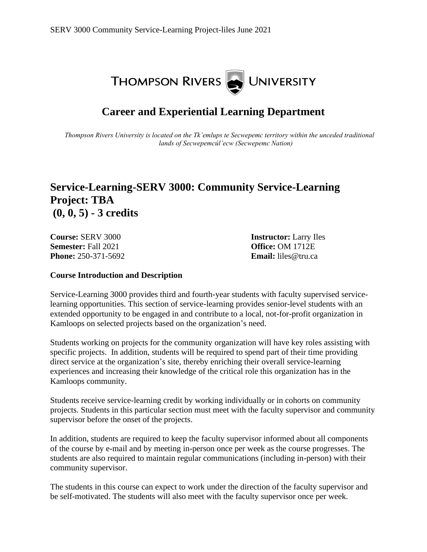

# **Career and Experiential Learning Department**

*Thompson Rivers University is located on the Tk'emlups te Secwepemc territory within the unceded traditional lands of Secwepemcúl'ecw (Secwepemc Nation)*

## **Service-Learning-SERV 3000: Community Service-Learning Project: TBA (0, 0, 5) - 3 credits**

**Course:** SERV 3000 **Instructor:** Larry Iles **Semester:** Fall 2021 **Office:** OM 1712E **Phone:** 250-371-5692 **Email:** liles@tru.ca

#### **Course Introduction and Description**

Service-Learning 3000 provides third and fourth-year students with faculty supervised servicelearning opportunities. This section of service-learning provides senior-level students with an extended opportunity to be engaged in and contribute to a local, not-for-profit organization in Kamloops on selected projects based on the organization's need.

Students working on projects for the community organization will have key roles assisting with specific projects. In addition, students will be required to spend part of their time providing direct service at the organization's site, thereby enriching their overall service-learning experiences and increasing their knowledge of the critical role this organization has in the Kamloops community.

Students receive service-learning credit by working individually or in cohorts on community projects. Students in this particular section must meet with the faculty supervisor and community supervisor before the onset of the projects.

In addition, students are required to keep the faculty supervisor informed about all components of the course by e-mail and by meeting in-person once per week as the course progresses. The students are also required to maintain regular communications (including in-person) with their community supervisor.

The students in this course can expect to work under the direction of the faculty supervisor and be self-motivated. The students will also meet with the faculty supervisor once per week.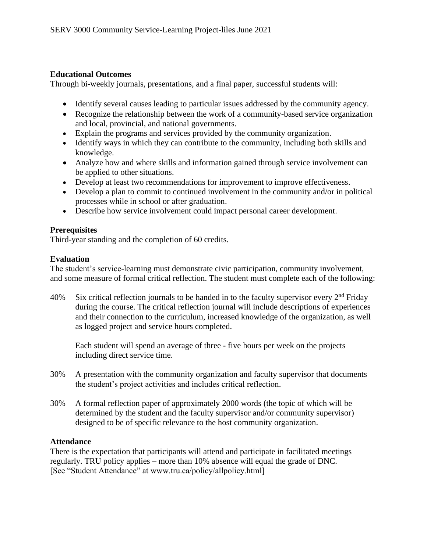#### **Educational Outcomes**

Through bi-weekly journals, presentations, and a final paper, successful students will:

- Identify several causes leading to particular issues addressed by the community agency.
- Recognize the relationship between the work of a community-based service organization and local, provincial, and national governments.
- Explain the programs and services provided by the community organization.
- Identify ways in which they can contribute to the community, including both skills and knowledge.
- Analyze how and where skills and information gained through service involvement can be applied to other situations.
- Develop at least two recommendations for improvement to improve effectiveness.
- Develop a plan to commit to continued involvement in the community and/or in political processes while in school or after graduation.
- Describe how service involvement could impact personal career development.

### **Prerequisites**

Third-year standing and the completion of 60 credits.

### **Evaluation**

The student's service-learning must demonstrate civic participation, community involvement, and some measure of formal critical reflection. The student must complete each of the following:

40% Six critical reflection journals to be handed in to the faculty supervisor every  $2<sup>nd</sup>$  Friday during the course. The critical reflection journal will include descriptions of experiences and their connection to the curriculum, increased knowledge of the organization, as well as logged project and service hours completed.

Each student will spend an average of three - five hours per week on the projects including direct service time.

- 30% A presentation with the community organization and faculty supervisor that documents the student's project activities and includes critical reflection.
- 30% A formal reflection paper of approximately 2000 words (the topic of which will be determined by the student and the faculty supervisor and/or community supervisor) designed to be of specific relevance to the host community organization.

#### **Attendance**

There is the expectation that participants will attend and participate in facilitated meetings regularly. TRU policy applies – more than 10% absence will equal the grade of DNC. [See "Student Attendance" at www.tru.ca/policy/allpolicy.html]